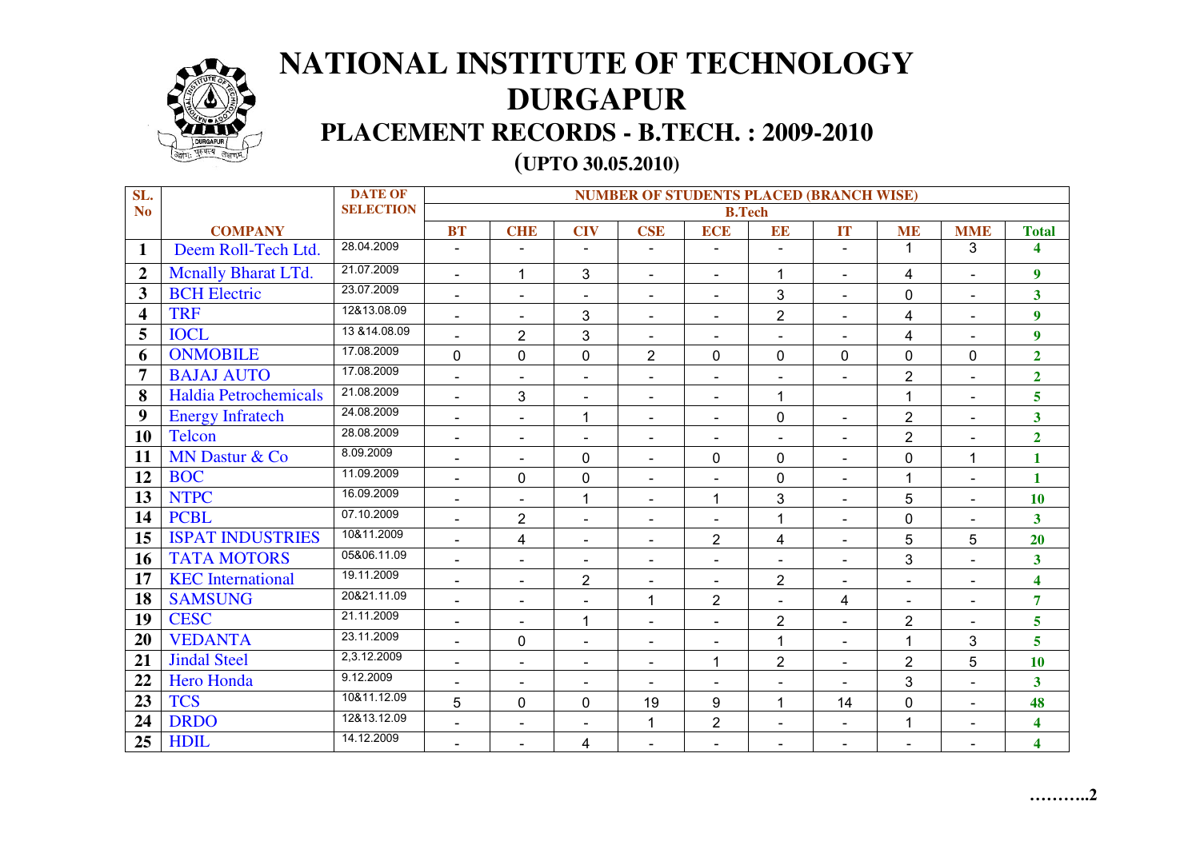

## **NATIONAL INSTITUTE OF TECHNOLOGY DURGAPUR PLACEMENT RECORDS - B.TECH. : 2009-2010 (UPTO 30.05.2010)**

| SL.                     |                              | <b>DATE OF</b>   | <b>NUMBER OF STUDENTS PLACED (BRANCH WISE)</b> |                          |                          |                          |                          |                          |                          |                |                |                         |
|-------------------------|------------------------------|------------------|------------------------------------------------|--------------------------|--------------------------|--------------------------|--------------------------|--------------------------|--------------------------|----------------|----------------|-------------------------|
| N <sub>o</sub>          |                              | <b>SELECTION</b> | <b>B.Tech</b>                                  |                          |                          |                          |                          |                          |                          |                |                |                         |
|                         | <b>COMPANY</b>               |                  | <b>BT</b>                                      | <b>CHE</b>               | <b>CIV</b>               | <b>CSE</b>               | <b>ECE</b>               | EE                       | <b>IT</b>                | <b>ME</b>      | <b>MME</b>     | <b>Total</b>            |
| $\mathbf{1}$            | Deem Roll-Tech Ltd.          | 28.04.2009       | $\blacksquare$                                 |                          | $\blacksquare$           | $\overline{a}$           | $\blacksquare$           |                          | ٠                        | 1              | 3              | 4                       |
| $\overline{2}$          | <b>Mcnally Bharat LTd.</b>   | 21.07.2009       | $\blacksquare$                                 | $\mathbf{1}$             | 3                        | $\blacksquare$           | $\blacksquare$           | 1                        | $\overline{\phantom{a}}$ | 4              | $\blacksquare$ | $\boldsymbol{9}$        |
| $\mathbf{3}$            | <b>BCH</b> Electric          | 23.07.2009       | $\blacksquare$                                 | $\blacksquare$           | $\overline{\phantom{a}}$ | $\blacksquare$           | $\blacksquare$           | $\mathbf{3}$             | $\blacksquare$           | 0              | $\blacksquare$ | $\overline{\mathbf{3}}$ |
| $\overline{\mathbf{4}}$ | <b>TRF</b>                   | 12&13.08.09      | $\blacksquare$                                 | $\blacksquare$           | 3                        | $\blacksquare$           | $\blacksquare$           | $\overline{2}$           | $\blacksquare$           | 4              | $\blacksquare$ | $\boldsymbol{9}$        |
| 5                       | <b>IOCL</b>                  | 13 & 14.08.09    |                                                | $\overline{2}$           | 3                        | $\overline{\phantom{a}}$ | $\blacksquare$           |                          |                          | 4              | $\blacksquare$ | $\overline{9}$          |
| 6                       | <b>ONMOBILE</b>              | 17.08.2009       | $\mathbf 0$                                    | $\mathbf 0$              | 0                        | $\overline{2}$           | $\mathbf 0$              | 0                        | $\mathbf 0$              | 0              | $\mathbf 0$    | $\overline{2}$          |
| 7                       | <b>BAJAJ AUTO</b>            | 17.08.2009       | $\blacksquare$                                 | $\blacksquare$           | $\blacksquare$           | $\sim$                   | $\blacksquare$           | $\blacksquare$           |                          | $\overline{2}$ | $\blacksquare$ | $\overline{2}$          |
| 8                       | <b>Haldia Petrochemicals</b> | 21.08.2009       | $\blacksquare$                                 | 3                        | $\overline{\phantom{a}}$ |                          | $\overline{\phantom{a}}$ | 1                        |                          | $\mathbf{1}$   | $\blacksquare$ | 5 <sup>5</sup>          |
| 9                       | <b>Energy Infratech</b>      | 24.08.2009       | $\overline{\phantom{a}}$                       | $\blacksquare$           | $\overline{1}$           | $\blacksquare$           | $\overline{\phantom{a}}$ | 0                        | $\blacksquare$           | $\overline{2}$ | $\blacksquare$ | $\overline{\mathbf{3}}$ |
| 10                      | <b>Telcon</b>                | 28.08.2009       | $\blacksquare$                                 | $\blacksquare$           | $\blacksquare$           | $\blacksquare$           | $\blacksquare$           | $\blacksquare$           | $\blacksquare$           | $\overline{2}$ | $\blacksquare$ | $\overline{2}$          |
| 11                      | MN Dastur & Co               | 8.09.2009        | $\blacksquare$                                 | $\equiv$                 | 0                        | $\sim$                   | $\mathbf 0$              | 0                        | $\blacksquare$           | 0              | $\mathbf{1}$   | $\mathbf{1}$            |
| 12                      | <b>BOC</b>                   | 11.09.2009       | $\overline{\phantom{a}}$                       | $\mathbf 0$              | 0                        | $\blacksquare$           | $\overline{\phantom{a}}$ | 0                        | $\blacksquare$           | 1              | $\blacksquare$ | $\mathbf{1}$            |
| 13                      | <b>NTPC</b>                  | 16.09.2009       | $\blacksquare$                                 |                          | $\overline{1}$           | $\overline{\phantom{a}}$ | $\overline{1}$           | 3                        | $\blacksquare$           | 5              | $\blacksquare$ | 10                      |
| 14                      | <b>PCBL</b>                  | 07.10.2009       | $\blacksquare$                                 | $\overline{2}$           | $\overline{\phantom{a}}$ | $\blacksquare$           |                          | 1                        | $\overline{a}$           | 0              | $\blacksquare$ | $\overline{\mathbf{3}}$ |
| 15                      | <b>ISPAT INDUSTRIES</b>      | 10&11.2009       | $\blacksquare$                                 | 4                        | $\overline{\phantom{a}}$ | $\overline{\phantom{a}}$ | $\overline{2}$           | 4                        | $\blacksquare$           | 5              | 5              | 20                      |
| 16                      | <b>TATA MOTORS</b>           | 05&06.11.09      | $\blacksquare$                                 | $\blacksquare$           | $\overline{\phantom{a}}$ | $\overline{\phantom{a}}$ | $\blacksquare$           | $\blacksquare$           | $\blacksquare$           | 3              | $\blacksquare$ | $\overline{\mathbf{3}}$ |
| 17                      | <b>KEC</b> International     | 19.11.2009       | $\blacksquare$                                 | $\overline{a}$           | $\overline{2}$           | $\blacksquare$           | $\overline{\phantom{a}}$ | $\overline{2}$           | $\overline{a}$           |                | $\blacksquare$ | $\overline{\mathbf{4}}$ |
| 18                      | <b>SAMSUNG</b>               | 20&21.11.09      | $\blacksquare$                                 | $\overline{\phantom{a}}$ | $\overline{\phantom{a}}$ | 1                        | $\overline{2}$           | $\blacksquare$           | 4                        | $\blacksquare$ | $\blacksquare$ | $\overline{7}$          |
| 19                      | <b>CESC</b>                  | 21.11.2009       | $\blacksquare$                                 | $\blacksquare$           | 1                        | $\blacksquare$           | $\blacksquare$           | $\overline{2}$           | $\blacksquare$           | $\overline{2}$ | $\blacksquare$ | 5                       |
| 20                      | <b>VEDANTA</b>               | 23.11.2009       | $\blacksquare$                                 | $\mathbf 0$              | $\blacksquare$           | $\overline{\phantom{a}}$ | $\blacksquare$           | 1                        | $\overline{\phantom{a}}$ | 1              | 3              | 5                       |
| 21                      | <b>Jindal Steel</b>          | 2,3.12.2009      | $\blacksquare$                                 | $\overline{\phantom{a}}$ | $\overline{\phantom{a}}$ | $\overline{\phantom{a}}$ | $\overline{1}$           | $\overline{2}$           | $\blacksquare$           | $\overline{2}$ | 5              | 10                      |
| 22                      | <b>Hero Honda</b>            | 9.12.2009        | $\overline{\phantom{a}}$                       | $\overline{\phantom{a}}$ | $\overline{\phantom{a}}$ | $\blacksquare$           | $\overline{\phantom{a}}$ | $\overline{\phantom{a}}$ | $\overline{\phantom{a}}$ | 3              | $\blacksquare$ | $\overline{\mathbf{3}}$ |
| 23                      | <b>TCS</b>                   | 10&11.12.09      | 5                                              | $\mathbf 0$              | $\mathbf 0$              | 19                       | 9                        | 1                        | 14                       | 0              | $\blacksquare$ | 48                      |
| 24                      | <b>DRDO</b>                  | 12&13.12.09      | $\blacksquare$                                 | $\overline{\phantom{a}}$ | $\overline{\phantom{a}}$ | 1                        | $\overline{2}$           | $\blacksquare$           | $\blacksquare$           | 1              | $\blacksquare$ | $\overline{\mathbf{4}}$ |
| 25                      | <b>HDIL</b>                  | 14.12.2009       | $\blacksquare$                                 | $\overline{\phantom{a}}$ | 4                        | $\overline{\phantom{a}}$ | $\blacksquare$           | $\overline{\phantom{a}}$ | $\overline{\phantom{a}}$ | $\blacksquare$ | $\blacksquare$ | $\overline{\mathbf{4}}$ |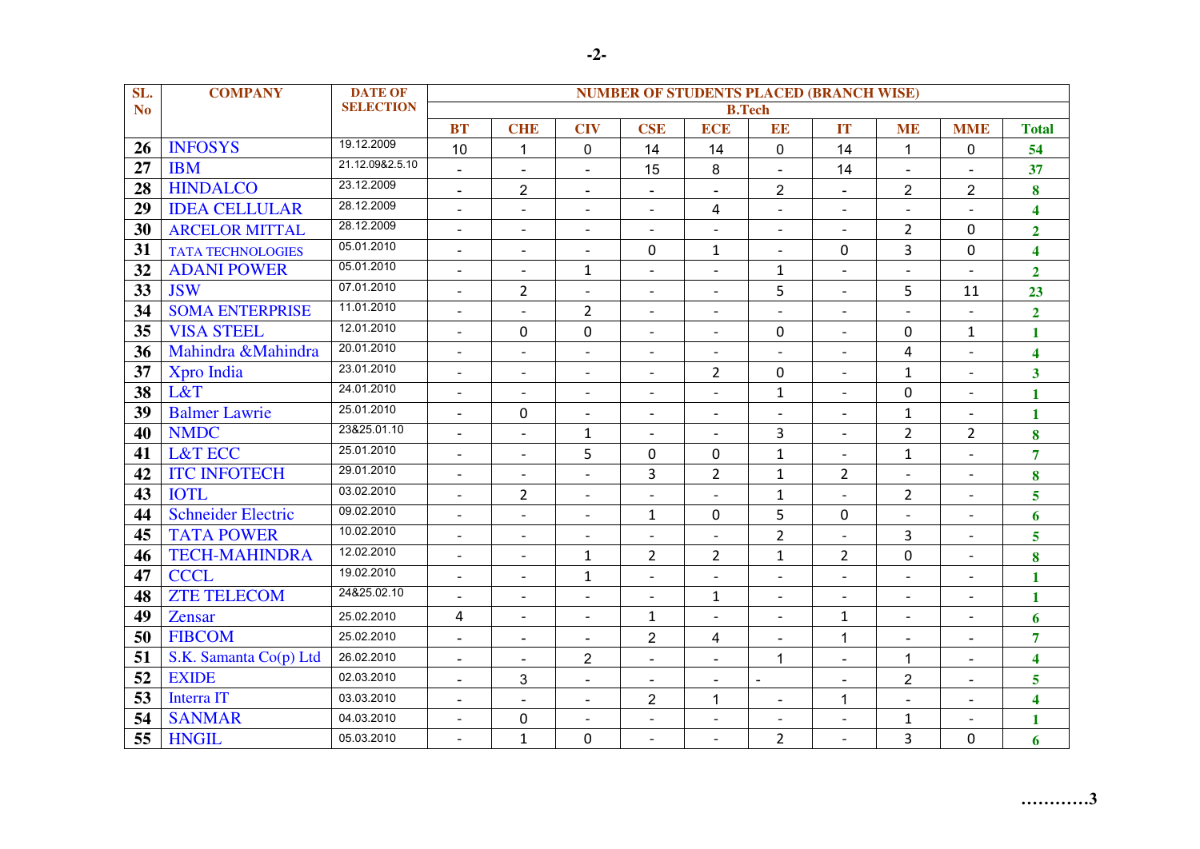| SL.             | <b>COMPANY</b>            | <b>DATE OF</b>   | <b>NUMBER OF STUDENTS PLACED (BRANCH WISE)</b> |                          |                          |                          |                          |                          |                          |                          |                              |                         |
|-----------------|---------------------------|------------------|------------------------------------------------|--------------------------|--------------------------|--------------------------|--------------------------|--------------------------|--------------------------|--------------------------|------------------------------|-------------------------|
| N <sub>o</sub>  |                           | <b>SELECTION</b> | <b>B.Tech</b>                                  |                          |                          |                          |                          |                          |                          |                          |                              |                         |
|                 |                           |                  | <b>BT</b>                                      | <b>CHE</b>               | <b>CIV</b>               | <b>CSE</b>               | <b>ECE</b>               | EE                       | <b>IT</b>                | <b>ME</b>                | <b>MME</b>                   | <b>Total</b>            |
| 26              | <b>INFOSYS</b>            | 19.12.2009       | 10                                             | $\mathbf{1}$             | $\mathbf 0$              | 14                       | 14                       | $\mathbf 0$              | 14                       | $\mathbf 1$              | 0                            | 54                      |
| $\overline{27}$ | <b>IBM</b>                | 21.12.09&2.5.10  | $\blacksquare$                                 |                          | $\blacksquare$           | 15                       | 8                        |                          | 14                       |                          |                              | 37                      |
| 28              | <b>HINDALCO</b>           | 23.12.2009       | $\blacksquare$                                 | $\overline{2}$           | $\blacksquare$           | $\blacksquare$           | $\blacksquare$           | $\overline{2}$           | $\sim$                   | $\overline{2}$           | $\overline{2}$               | 8                       |
| 29              | <b>IDEA CELLULAR</b>      | 28.12.2009       | $\overline{a}$                                 |                          | $\overline{\phantom{a}}$ |                          | $\overline{4}$           |                          | $\overline{\phantom{a}}$ |                          |                              | $\overline{\mathbf{4}}$ |
| 30              | <b>ARCELOR MITTAL</b>     | 28.12.2009       | $\overline{\phantom{a}}$                       | $\overline{\phantom{a}}$ | $\overline{\phantom{a}}$ | $\overline{a}$           | $\overline{\phantom{0}}$ | $\overline{a}$           | $\overline{\phantom{a}}$ | $\overline{2}$           | $\mathbf 0$                  | $\overline{2}$          |
| 31              | <b>TATA TECHNOLOGIES</b>  | 05.01.2010       | $\overline{\phantom{0}}$                       | $\overline{\phantom{a}}$ | $\overline{\phantom{a}}$ | $\Omega$                 | $\mathbf{1}$             | $\overline{\phantom{a}}$ | 0                        | 3                        | $\mathbf 0$                  | $\overline{\mathbf{4}}$ |
| 32              | <b>ADANI POWER</b>        | 05.01.2010       |                                                | $\overline{a}$           | $\mathbf{1}$             | $\blacksquare$           | $\blacksquare$           | $\mathbf{1}$             | $\overline{\phantom{a}}$ | $\overline{a}$           |                              | $\overline{2}$          |
| 33              | <b>JSW</b>                | 07.01.2010       | $\overline{a}$                                 | $\overline{2}$           | $\overline{\phantom{a}}$ | $\overline{a}$           | $\overline{\phantom{a}}$ | 5                        | $\overline{\phantom{a}}$ | 5                        | 11                           | 23                      |
| 34              | <b>SOMA ENTERPRISE</b>    | 11.01.2010       | $\overline{a}$                                 | $\overline{a}$           | $\overline{2}$           | $\overline{a}$           | $\overline{\phantom{a}}$ | $\overline{a}$           | $\blacksquare$           | $\overline{a}$           |                              | $\overline{2}$          |
| 35              | <b>VISA STEEL</b>         | 12.01.2010       | $\overline{a}$                                 | $\mathbf 0$              | $\mathbf 0$              | $\overline{\phantom{a}}$ | $\overline{\phantom{a}}$ | $\mathbf 0$              | $\overline{\phantom{a}}$ | 0                        | $\mathbf{1}$                 | $\mathbf{1}$            |
| 36              | Mahindra &Mahindra        | 20.01.2010       | $\overline{a}$                                 | $\overline{a}$           | $\overline{\phantom{a}}$ | $\blacksquare$           | $\blacksquare$           | $\overline{\phantom{a}}$ | $\overline{\phantom{a}}$ | 4                        | $\overline{\phantom{0}}$     | 4                       |
| 37              | Xpro India                | 23.01.2010       | $\overline{\phantom{a}}$                       | $\overline{\phantom{a}}$ | $\overline{\phantom{a}}$ | $\overline{a}$           | $\overline{2}$           | 0                        | $\overline{\phantom{a}}$ | $\mathbf{1}$             | $\overline{\phantom{0}}$     | $\overline{\mathbf{3}}$ |
| 38              | L&T                       | 24.01.2010       |                                                |                          | $\overline{\phantom{a}}$ | $\overline{a}$           | $\overline{\phantom{a}}$ | $\mathbf{1}$             | $\overline{\phantom{a}}$ | 0                        | $\qquad \qquad \blacksquare$ | $\mathbf{1}$            |
| 39              | <b>Balmer Lawrie</b>      | 25.01.2010       | $\overline{a}$                                 | $\mathbf 0$              | $\overline{a}$           | $\overline{a}$           | $\sim$                   |                          | $\sim$                   | $\mathbf{1}$             | $\overline{a}$               | $\mathbf{1}$            |
| 40              | <b>NMDC</b>               | 23&25.01.10      |                                                |                          | $\mathbf{1}$             |                          |                          | 3                        |                          | $\overline{2}$           | $\overline{2}$               | 8                       |
| 41              | <b>L&amp;T ECC</b>        | 25.01.2010       | $\overline{\phantom{a}}$                       | $\overline{\phantom{a}}$ | 5                        | $\mathbf 0$              | $\mathbf 0$              | $\mathbf{1}$             | $\overline{\phantom{a}}$ | $\mathbf{1}$             | $\qquad \qquad \blacksquare$ | $\overline{7}$          |
| 42              | <b>ITC INFOTECH</b>       | 29.01.2010       | $\blacksquare$                                 | $\overline{a}$           | $\overline{a}$           | 3                        | $\overline{2}$           | $\mathbf{1}$             | $\overline{2}$           | $\overline{a}$           | $\frac{1}{2}$                | 8                       |
| 43              | <b>IOTL</b>               | 03.02.2010       | $\overline{a}$                                 | $\overline{2}$           | $\overline{\phantom{a}}$ |                          | $\sim$                   | $\mathbf{1}$             | $\sim$                   | $\overline{2}$           | $\overline{\phantom{0}}$     | 5                       |
| 44              | <b>Schneider Electric</b> | 09.02.2010       | $\overline{\phantom{a}}$                       | $\overline{\phantom{a}}$ | $\overline{\phantom{a}}$ | $\mathbf 1$              | $\mathbf 0$              | 5                        | $\mathbf 0$              |                          | $\qquad \qquad -$            | 6                       |
| 45              | <b>TATA POWER</b>         | 10.02.2010       | $\overline{\phantom{a}}$                       | $\overline{a}$           | $\overline{\phantom{a}}$ | $\overline{a}$           | $\overline{\phantom{a}}$ | $\overline{2}$           | $\sim$                   | 3                        | $\frac{1}{2}$                | 5                       |
| 46              | <b>TECH-MAHINDRA</b>      | 12.02.2010       | $\overline{a}$                                 | $\overline{a}$           | $\mathbf{1}$             | $\overline{2}$           | $\overline{2}$           | $\mathbf{1}$             | $\overline{2}$           | 0                        | $\overline{a}$               | 8                       |
| 47              | <b>CCCL</b>               | 19.02.2010       |                                                |                          | $\mathbf 1$              |                          |                          | $\overline{a}$           |                          | $\overline{a}$           | $\overline{a}$               | $\mathbf{1}$            |
| 48              | <b>ZTE TELECOM</b>        | 24&25.02.10      | $\overline{\phantom{a}}$                       | $\overline{\phantom{a}}$ | $\overline{\phantom{a}}$ | $\overline{\phantom{a}}$ | $\mathbf{1}$             | $\overline{\phantom{a}}$ | $\overline{\phantom{a}}$ | $\overline{\phantom{a}}$ | $\overline{\phantom{a}}$     | $\mathbf{1}$            |
| 49              | <b>Zensar</b>             | 25.02.2010       | $\overline{4}$                                 | $\overline{\phantom{0}}$ | $\overline{\phantom{a}}$ | $\mathbf{1}$             | $\overline{a}$           | $\overline{a}$           | $\mathbf{1}$             | $\overline{a}$           | $\qquad \qquad \blacksquare$ | 6                       |
| 50              | <b>FIBCOM</b>             | 25.02.2010       | $\blacksquare$                                 | $\blacksquare$           | $\blacksquare$           | $\overline{2}$           | $\overline{4}$           | $\sim$                   | $\mathbf{1}$             | $\sim$                   | $\blacksquare$               | $\overline{7}$          |
| 51              | S.K. Samanta Co(p) Ltd    | 26.02.2010       | $\overline{\phantom{a}}$                       | $\overline{\phantom{a}}$ | $\overline{2}$           | $\blacksquare$           | $\overline{\phantom{a}}$ | 1                        | $\overline{\phantom{a}}$ | 1                        | $\blacksquare$               | $\overline{\mathbf{4}}$ |
| 52              | <b>EXIDE</b>              | 02.03.2010       | $\blacksquare$                                 | 3                        | $\blacksquare$           | $\blacksquare$           | $\blacksquare$           | $\sim$                   | $\tilde{\phantom{a}}$    | $\overline{c}$           | $\blacksquare$               | 5                       |
| 53              | <b>Interra IT</b>         | 03.03.2010       | $\blacksquare$                                 | $\blacksquare$           | $\blacksquare$           | $\overline{2}$           | 1                        | $\blacksquare$           | $\mathbf{1}$             | $\sim$                   | $\blacksquare$               | $\overline{\mathbf{4}}$ |
| 54              | <b>SANMAR</b>             | 04.03.2010       |                                                | $\mathbf 0$              | $\overline{a}$           |                          | $\overline{\phantom{a}}$ | $\overline{a}$           | $\overline{a}$           | $\mathbf{1}$             |                              | $\mathbf{1}$            |
| 55              | <b>HNGIL</b>              | 05.03.2010       |                                                | $\mathbf{1}$             | 0                        |                          |                          | $\overline{2}$           |                          | 3                        | $\mathbf{0}$                 | 6                       |